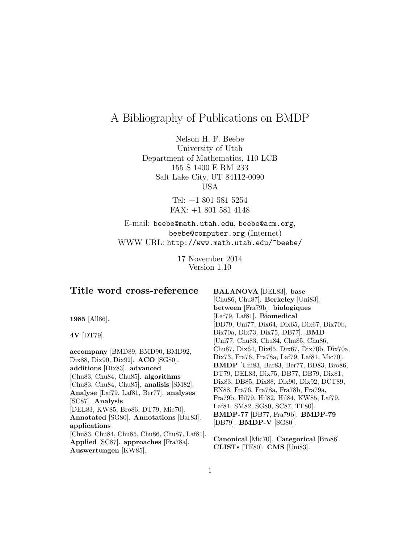# A Bibliography of Publications on BMDP

Nelson H. F. Beebe University of Utah Department of Mathematics, 110 LCB 155 S 1400 E RM 233 Salt Lake City, UT 84112-0090 USA

> Tel: +1 801 581 5254 FAX: +1 801 581 4148

E-mail: beebe@math.utah.edu, beebe@acm.org, beebe@computer.org (Internet) WWW URL: http://www.math.utah.edu/~beebe/

> 17 November 2014 Version 1.10

# **Title word cross-reference**

**1985** [All86].

**4V** [DT79].

**accompany** [BMD89, BMD90, BMD92, Dix88, Dix90, Dix92]. **ACO** [SG80]. **additions** [Dix83]. **advanced** [Chu83, Chu84, Chu85]. **algorithms** [Chu83, Chu84, Chu85]. **analisis** [SM82]. **Analyse** [Laf79, Laf81, Ber77]. **analyses** [SC87]. **Analysis** [DEL83, KW85, Bro86, DT79, Mic70]. **Annotated** [SG80]. **Annotations** [Bar83]. **applications** [Chu83, Chu84, Chu85, Chu86, Chu87, Laf81]. **Applied** [SC87]. **approaches** [Fra78a]. **Auswertungen** [KW85].

**BALANOVA** [DEL83]. **base** [Chu86, Chu87]. **Berkeley** [Uni83]. **between** [Fra79b]. **biologiques** [Laf79, Laf81]. **Biomedical** [DB79, Uni77, Dix64, Dix65, Dix67, Dix70b, Dix70a, Dix73, Dix75, DB77]. **BMD** [Uni77, Chu83, Chu84, Chu85, Chu86, Chu87, Dix64, Dix65, Dix67, Dix70b, Dix70a, Dix73, Fra76, Fra78a, Laf79, Laf81, Mic70]. **BMDP** [Uni83, Bar83, Ber77, BD83, Bro86, DT79, DEL83, Dix75, DB77, DB79, Dix81, Dix83, DB85, Dix88, Dix90, Dix92, DCT89, EN88, Fra76, Fra78a, Fra78b, Fra79a, Fra79b, Hil79, Hil82, Hil84, KW85, Laf79, Laf81, SM82, SG80, SC87, TF80]. **BMDP-77** [DB77, Fra79b]. **BMDP-79** [DB79]. **BMDP-V** [SG80].

**Canonical** [Mic70]. **Categorical** [Bro86]. **CLISTs** [TF80]. **CMS** [Uni83].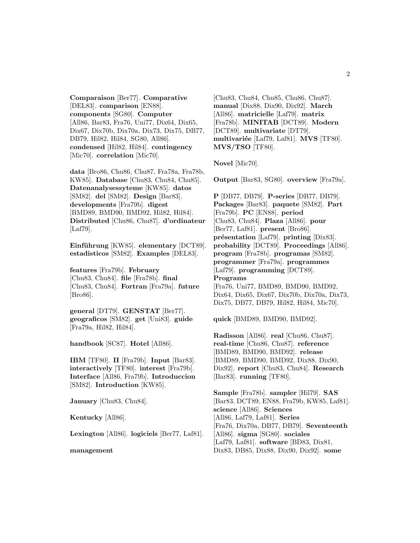**Comparaison** [Ber77]. **Comparative** [DEL83]. **comparison** [EN88]. **components** [SG80]. **Computer** [All86, Bar83, Fra76, Uni77, Dix64, Dix65, Dix67, Dix70b, Dix70a, Dix73, Dix75, DB77, DB79, Hil82, Hil84, SG80, All86]. **condensed** [Hil82, Hil84]. **contingency** [Mic70]. **correlation** [Mic70].

**data** [Bro86, Chu86, Chu87, Fra78a, Fra78b, KW85]. **Database** [Chu83, Chu84, Chu85]. **Datenanalysessyteme** [KW85]. **datos** [SM82]. **del** [SM82]. **Design** [Bar83]. **developments** [Fra79b]. **digest** [BMD89, BMD90, BMD92, Hil82, Hil84]. **Distributed** [Chu86, Chu87]. **d'ordinateur** [Laf79].

**Einführung** [KW85]. **elementary** [DCT89]. **estadisticos** [SM82]. **Examples** [DEL83].

**features** [Fra79b]. **February** [Chu83, Chu84]. **file** [Fra78b]. **final** [Chu83, Chu84]. **Fortran** [Fra79a]. **future** [Bro86].

**general** [DT79]. **GENSTAT** [Ber77]. **geograficos** [SM82]. **get** [Uni83]. **guide** [Fra79a, Hil82, Hil84].

**handbook** [SC87]. **Hotel** [All86].

**IBM** [TF80]. **II** [Fra79b]. **Input** [Bar83]. **interactively** [TF80]. **interest** [Fra79b]. **Interface** [All86, Fra79b]. **Introduccion** [SM82]. **Introduction** [KW85].

**January** [Chu83, Chu84].

**Kentucky** [All86].

**Lexington** [All86]. **logiciels** [Ber77, Laf81].

#### **management**

[Chu83, Chu84, Chu85, Chu86, Chu87]. **manual** [Dix88, Dix90, Dix92]. **March** [All86]. **matricielle** [Laf79]. **matrix** [Fra78b]. **MINITAB** [DCT89]. **Modern** [DCT89]. **multivariate** [DT79]. **multivari´ee** [Laf79, Laf81]. **MVS** [TF80]. **MVS/TSO** [TF80].

**Novel** [Mic70].

**Output** [Bar83, SG80]. **overview** [Fra79a].

**P** [DB77, DB79]. **P-series** [DB77, DB79]. **Packages** [Bar83]. **paquete** [SM82]. **Part** [Fra79b]. **PC** [EN88]. **period** [Chu83, Chu84]. **Plaza** [All86]. **pour** [Ber77, Laf81]. **present** [Bro86]. **présentation** [Laf79]. **printing** [Dix83]. **probability** [DCT89]. **Proceedings** [All86]. **program** [Fra78b]. **programas** [SM82]. **programmer** [Fra79a]. **programmes** [Laf79]. **programming** [DCT89]. **Programs** [Fra76, Uni77, BMD89, BMD90, BMD92, Dix64, Dix65, Dix67, Dix70b, Dix70a, Dix73, Dix75, DB77, DB79, Hil82, Hil84, Mic70].

**quick** [BMD89, BMD90, BMD92].

**Radisson** [All86]. **real** [Chu86, Chu87]. **real-time** [Chu86, Chu87]. **reference** [BMD89, BMD90, BMD92]. **release** [BMD89, BMD90, BMD92, Dix88, Dix90, Dix92]. **report** [Chu83, Chu84]. **Research** [Bar83]. **running** [TF80].

**Sample** [Fra78b]. **sampler** [Hil79]. **SAS** [Bar83, DCT89, EN88, Fra79b, KW85, Laf81]. **science** [All86]. **Sciences** [All86, Laf79, Laf81]. **Series** [Fra76, Dix70a, DB77, DB79]. **Seventeenth** [All86]. **sigma** [SG80]. **sociales** [Laf79, Laf81]. **software** [BD83, Dix81, Dix83, DB85, Dix88, Dix90, Dix92]. **some**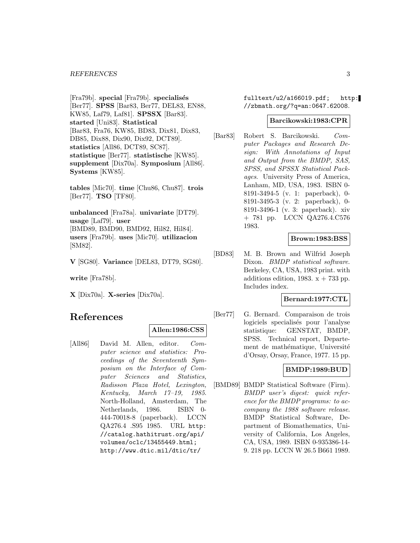#### *REFERENCES* 3

[Fra79b]. **special** [Fra79b]. **specialisés** [Ber77]. **SPSS** [Bar83, Ber77, DEL83, EN88, KW85, Laf79, Laf81]. **SPSSX** [Bar83]. **started** [Uni83]. **Statistical** [Bar83, Fra76, KW85, BD83, Dix81, Dix83, DB85, Dix88, Dix90, Dix92, DCT89]. **statistics** [All86, DCT89, SC87]. **statistique** [Ber77]. **statistische** [KW85]. **supplement** [Dix70a]. **Symposium** [All86]. **Systems** [KW85].

**tables** [Mic70]. **time** [Chu86, Chu87]. **trois** [Ber77]. **TSO** [TF80].

**unbalanced** [Fra78a]. **univariate** [DT79]. **usage** [Laf79]. **user** [BMD89, BMD90, BMD92, Hil82, Hil84]. **users** [Fra79b]. **uses** [Mic70]. **utilizacion** [SM82].

**V** [SG80]. **Variance** [DEL83, DT79, SG80].

**write** [Fra78b].

**X** [Dix70a]. **X-series** [Dix70a].

# **References**

#### **Allen:1986:CSS**

[All86] David M. Allen, editor. Computer science and statistics: Proceedings of the Seventeenth Symposium on the Interface of Computer Sciences and Statistics, Radisson Plaza Hotel, Lexington, Kentucky, March 17–19, 1985. North-Holland, Amsterdam, The Netherlands, 1986. ISBN 0- 444-70018-8 (paperback). LCCN QA276.4 .S95 1985. URL http: //catalog.hathitrust.org/api/ volumes/oclc/13455449.html; http://www.dtic.mil/dtic/tr/

fulltext/u2/a166019.pdf; http: //zbmath.org/?q=an:0647.62008.

#### **Barcikowski:1983:CPR**

[Bar83] Robert S. Barcikowski. Computer Packages and Research Design: With Annotations of Input and Output from the BMDP, SAS, SPSS, and SPSSX Statistical Packages. University Press of America, Lanham, MD, USA, 1983. ISBN 0- 8191-3494-5 (v. 1: paperback), 0- 8191-3495-3 (v. 2: paperback), 0- 8191-3496-1 (v. 3: paperback). xiv + 781 pp. LCCN QA276.4.C576 1983.

#### **Brown:1983:BSS**

[BD83] M. B. Brown and Wilfrid Joseph Dixon. *BMDP* statistical software. Berkeley, CA, USA, 1983 print. with additions edition, 1983.  $x + 733$  pp. Includes index.

#### **Bernard:1977:CTL**

[Ber77] G. Bernard. Comparaison de trois logiciels specialisés pour l'analyse statistique: GENSTAT, BMDP, SPSS. Technical report, Departement de mathématique, Université d'Orsay, Orsay, France, 1977. 15 pp.

## **BMDP:1989:BUD**

[BMD89] BMDP Statistical Software (Firm). BMDP user's digest: quick reference for the BMDP programs: to accompany the 1988 software release. BMDP Statistical Software, Department of Biomathematics, University of California, Los Angeles, CA, USA, 1989. ISBN 0-935386-14- 9. 218 pp. LCCN W 26.5 B661 1989.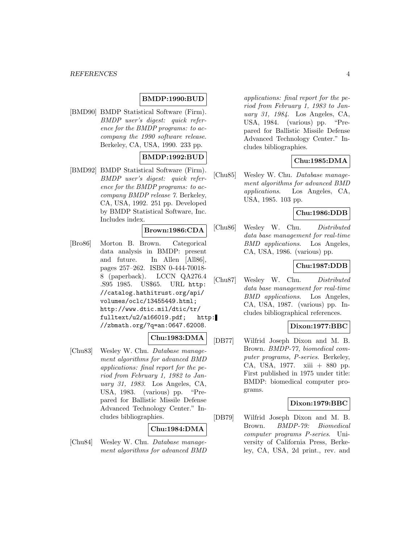#### *REFERENCES* 4

#### **BMDP:1990:BUD**

[BMD90] BMDP Statistical Software (Firm). BMDP user's digest: quick reference for the BMDP programs: to accompany the 1990 software release. Berkeley, CA, USA, 1990. 233 pp.

#### **BMDP:1992:BUD**

[BMD92] BMDP Statistical Software (Firm). BMDP user's digest: quick reference for the BMDP programs: to accompany BMDP release 7. Berkeley, CA, USA, 1992. 251 pp. Developed by BMDP Statistical Software, Inc. Includes index.

#### **Brown:1986:CDA**

[Bro86] Morton B. Brown. Categorical data analysis in BMDP: present and future. In Allen [All86], pages 257–262. ISBN 0-444-70018- 8 (paperback). LCCN QA276.4 .S95 1985. US\$65. URL http: //catalog.hathitrust.org/api/ volumes/oclc/13455449.html; http://www.dtic.mil/dtic/tr/ fulltext/u2/a166019.pdf; http: //zbmath.org/?q=an:0647.62008.

## **Chu:1983:DMA**

[Chu83] Wesley W. Chu. Database management algorithms for advanced BMD applications: final report for the period from February 1, 1982 to January 31, 1983. Los Angeles, CA, USA, 1983. (various) pp. "Prepared for Ballistic Missile Defense Advanced Technology Center." Includes bibliographies.

#### **Chu:1984:DMA**

[Chu84] Wesley W. Chu. Database management algorithms for advanced BMD

applications: final report for the period from February 1, 1983 to January 31, 1984. Los Angeles, CA, USA, 1984. (various) pp. "Prepared for Ballistic Missile Defense Advanced Technology Center." Includes bibliographies.

## **Chu:1985:DMA**

[Chu85] Wesley W. Chu. Database management algorithms for advanced BMD applications. Los Angeles, CA, USA, 1985. 103 pp.

## **Chu:1986:DDB**

[Chu86] Wesley W. Chu. Distributed data base management for real-time BMD applications. Los Angeles, CA, USA, 1986. (various) pp.

#### **Chu:1987:DDB**

[Chu87] Wesley W. Chu. Distributed data base management for real-time BMD applications. Los Angeles, CA, USA, 1987. (various) pp. Includes bibliographical references.

#### **Dixon:1977:BBC**

[DB77] Wilfrid Joseph Dixon and M. B. Brown. BMDP-77, biomedical computer programs, P-series. Berkeley, CA, USA, 1977. xiii + 880 pp. First published in 1975 under title: BMDP: biomedical computer programs.

#### **Dixon:1979:BBC**

[DB79] Wilfrid Joseph Dixon and M. B. Brown. BMDP-79: Biomedical computer programs P-series. University of California Press, Berkeley, CA, USA, 2d print., rev. and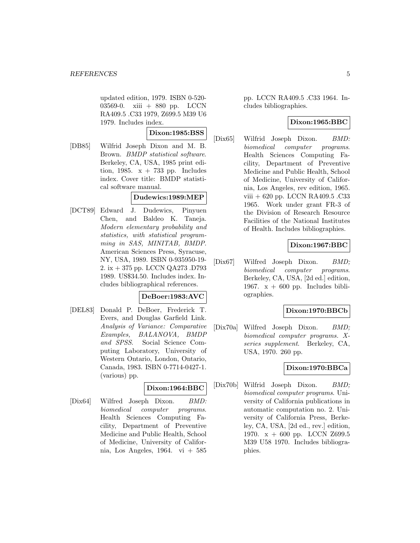updated edition, 1979. ISBN 0-520- 03569-0. xiii + 880 pp. LCCN RA409.5 .C33 1979, Z699.5 M39 U6 1979. Includes index.

### **Dixon:1985:BSS**

[DB85] Wilfrid Joseph Dixon and M. B. Brown. BMDP statistical software. Berkeley, CA, USA, 1985 print edition, 1985.  $x + 733$  pp. Includes index. Cover title: BMDP statistical software manual.

#### **Dudewics:1989:MEP**

[DCT89] Edward J. Dudewics, Pinyuen Chen, and Baldeo K. Taneja. Modern elementary probability and statistics, with statistical programming in SAS, MINITAB, BMDP. American Sciences Press, Syracuse, NY, USA, 1989. ISBN 0-935950-19- 2. ix + 375 pp. LCCN QA273 .D793 1989. US\$34.50. Includes index. Includes bibliographical references.

#### **DeBoer:1983:AVC**

[DEL83] Donald P. DeBoer, Frederick T. Evers, and Douglas Garfield Link. Analysis of Variance: Comparative Examples, BALANOVA, BMDP and SPSS. Social Science Computing Laboratory, University of Western Ontario, London, Ontario, Canada, 1983. ISBN 0-7714-0427-1. (various) pp.

# **Dixon:1964:BBC**

[Dix64] Wilfred Joseph Dixon. BMD: biomedical computer programs. Health Sciences Computing Facility, Department of Preventive Medicine and Public Health, School of Medicine, University of California, Los Angeles, 1964. vi + 585

pp. LCCN RA409.5 .C33 1964. Includes bibliographies.

### **Dixon:1965:BBC**

[Dix65] Wilfrid Joseph Dixon. BMD: biomedical computer programs. Health Sciences Computing Facility, Department of Preventive Medicine and Public Health, School of Medicine, University of California, Los Angeles, rev edition, 1965. viii + 620 pp. LCCN RA409.5 .C33 1965. Work under grant FR-3 of the Division of Research Resource Facilities of the National Institutes of Health. Includes bibliographies.

## **Dixon:1967:BBC**

[Dix67] Wilfred Joseph Dixon. BMD; biomedical computer programs. Berkeley, CA, USA, [2d ed.] edition, 1967.  $x + 600$  pp. Includes bibliographies.

#### **Dixon:1970:BBCb**

[Dix70a] Wilfred Joseph Dixon. BMD; biomedical computer programs. Xseries supplement. Berkeley, CA, USA, 1970. 260 pp.

## **Dixon:1970:BBCa**

[Dix70b] Wilfrid Joseph Dixon. BMD; biomedical computer programs. University of California publications in automatic computation no. 2. University of California Press, Berkeley, CA, USA, [2d ed., rev.] edition, 1970. x + 600 pp. LCCN Z699.5 M39 U58 1970. Includes bibliographies.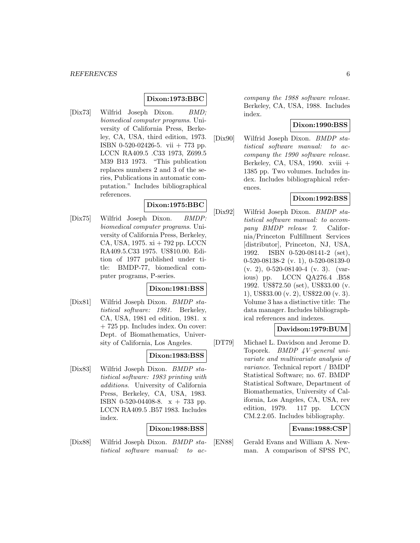## **Dixon:1973:BBC**

[Dix73] Wilfrid Joseph Dixon. BMD; biomedical computer programs. University of California Press, Berkeley, CA, USA, third edition, 1973. ISBN 0-520-02426-5. vii + 773 pp. LCCN RA409.5 .C33 1973, Z699.5 M39 B13 1973. "This publication replaces numbers 2 and 3 of the series, Publications in automatic computation." Includes bibliographical references.

# **Dixon:1975:BBC**

[Dix75] Wilfrid Joseph Dixon. BMDP: biomedical computer programs. University of California Press, Berkeley, CA, USA, 1975. xi + 792 pp. LCCN RA409.5.C33 1975. US\$10.00. Edition of 1977 published under title: BMDP-77, biomedical computer programs, P-series.

### **Dixon:1981:BSS**

[Dix81] Wilfrid Joseph Dixon. BMDP statistical software: 1981. Berkeley, CA, USA, 1981 ed edition, 1981. x + 725 pp. Includes index. On cover: Dept. of Biomathematics, University of California, Los Angeles.

#### **Dixon:1983:BSS**

[Dix83] Wilfrid Joseph Dixon. BMDP statistical software: 1983 printing with additions. University of California Press, Berkeley, CA, USA, 1983. ISBN 0-520-04408-8.  $x + 733$  pp. LCCN RA409.5 .B57 1983. Includes index.

#### **Dixon:1988:BSS**

[Dix88] Wilfrid Joseph Dixon. BMDP statistical software manual: to ac-

company the 1988 software release. Berkeley, CA, USA, 1988. Includes index.

# **Dixon:1990:BSS**

[Dix90] Wilfrid Joseph Dixon. BMDP statistical software manual: to accompany the 1990 software release. Berkeley, CA, USA, 1990. xviii + 1385 pp. Two volumes. Includes index. Includes bibliographical references.

#### **Dixon:1992:BSS**

[Dix92] Wilfrid Joseph Dixon. BMDP statistical software manual: to accompany BMDP release 7. California/Princeton Fulfillment Services [distributor], Princeton, NJ, USA, 1992. ISBN 0-520-08141-2 (set), 0-520-08138-2 (v. 1), 0-520-08139-0 (v. 2), 0-520-08140-4 (v. 3). (various) pp. LCCN QA276.4 .B58 1992. US\$72.50 (set), US\$33.00 (v. 1), US\$33.00 (v. 2), US\$22.00 (v. 3). Volume 3 has a distinctive title: The data manager. Includes bibliographical references and indexes.

### **Davidson:1979:BUM**

[DT79] Michael L. Davidson and Jerome D. Toporek. BMDP 4V–general univariate and multivariate analysis of variance. Technical report / BMDP Statistical Software; no. 67. BMDP Statistical Software, Department of Biomathematics, University of California, Los Angeles, CA, USA, rev edition, 1979. 117 pp. LCCN CM.2.2.05. Includes bibliography.

## **Evans:1988:CSP**

[EN88] Gerald Evans and William A. Newman. A comparison of SPSS PC,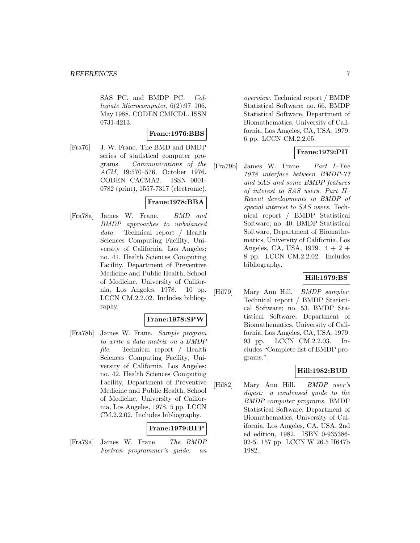SAS PC, and BMDP PC. Collegiate Microcomputer, 6(2):97–106, May 1988. CODEN CMICDL. ISSN 0731-4213.

#### **Frane:1976:BBS**

[Fra76] J. W. Frane. The BMD and BMDP series of statistical computer programs. Communications of the ACM, 19:570–576, October 1976. CODEN CACMA2. ISSN 0001- 0782 (print), 1557-7317 (electronic).

## **Frane:1978:BBA**

[Fra78a] James W. Frane. BMD and BMDP approaches to unbalanced data. Technical report / Health Sciences Computing Facility, University of California, Los Angeles; no. 41. Health Sciences Computing Facility, Department of Preventive Medicine and Public Health, School of Medicine, University of California, Los Angeles, 1978. 10 pp. LCCN CM.2.2.02. Includes bibliography.

#### **Frane:1978:SPW**

[Fra78b] James W. Frane. Sample program to write a data matrix on a BMDP file. Technical report / Health Sciences Computing Facility, University of California, Los Angeles; no. 42. Health Sciences Computing Facility, Department of Preventive Medicine and Public Health, School of Medicine, University of California, Los Angeles, 1978. 5 pp. LCCN CM.2.2.02. Includes bibliography.

#### **Frane:1979:BFP**

[Fra79a] James W. Frane. The BMDP Fortran programmer's guide: an

overview. Technical report / BMDP Statistical Software; no. 66. BMDP Statistical Software, Department of Biomathematics, University of California, Los Angeles, CA, USA, 1979. 6 pp. LCCN CM.2.2.05.

## **Frane:1979:PII**

[Fra79b] James W. Frane. Part I–The 1978 interface between BMDP-77 and SAS and some BMDP features of interest to SAS users. Part II– Recent developments in BMDP of special interest to SAS users. Technical report / BMDP Statistical Software; no. 40. BMDP Statistical Software, Department of Biomathematics, University of California, Los Angeles, CA, USA, 1979. 4 + 2 + 8 pp. LCCN CM.2.2.02. Includes bibliography.

#### **Hill:1979:BS**

[Hil79] Mary Ann Hill. *BMDP sampler*. Technical report / BMDP Statistical Software; no. 53. BMDP Statistical Software, Department of Biomathematics, University of California, Los Angeles, CA, USA, 1979. 93 pp. LCCN CM.2.2.03. Includes "Complete list of BMDP programs.".

#### **Hill:1982:BUD**

[Hil82] Mary Ann Hill. BMDP user's digest: a condensed guide to the BMDP computer programs. BMDP Statistical Software, Department of Biomathematics, University of California, Los Angeles, CA, USA, 2nd ed edition, 1982. ISBN 0-935386- 02-5. 157 pp. LCCN W 26.5 H647b 1982.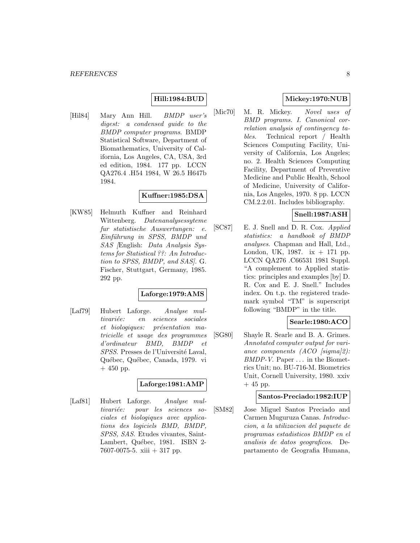## **Hill:1984:BUD**

[Hil84] Mary Ann Hill. BMDP user's digest: a condensed guide to the BMDP computer programs. BMDP Statistical Software, Department of Biomathematics, University of California, Los Angeles, CA, USA, 3rd ed edition, 1984. 177 pp. LCCN QA276.4 .H54 1984, W 26.5 H647b 1984.

# **Kuffner:1985:DSA**

[KW85] Helmuth Kuffner and Reinhard Wittenberg. Datenanalysessyteme fur statistische Auswertungen: e. Einführung in SPSS, BMDP und SAS [English: Data Analysis Systems for Statistical ??: An Introduction to SPSS, BMDP, and SAS]. G. Fischer, Stuttgart, Germany, 1985. 292 pp.

#### **Laforge:1979:AMS**

[Laf79] Hubert Laforge. Analyse multivariée: en sciences sociales et biologiques: présentation matricielle et usage des programmes d'ordinateur BMD, BMDP et SPSS. Presses de l'Université Laval, Québec, Québec, Canada, 1979. vi + 450 pp.

## **Laforge:1981:AMP**

[Laf81] Hubert Laforge. Analyse multivariée: pour les sciences sociales et biologiques avec applications des logiciels BMD, BMDP, SPSS, SAS. Etudes vivantes, Saint-Lambert, Québec, 1981. ISBN 2-7607-0075-5. xiii + 317 pp.

## **Mickey:1970:NUB**

[Mic70] M. R. Mickey. Novel uses of BMD programs. I. Canonical correlation analysis of contingency tables. Technical report / Health Sciences Computing Facility, University of California, Los Angeles; no. 2. Health Sciences Computing Facility, Department of Preventive Medicine and Public Health, School of Medicine, University of California, Los Angeles, 1970. 8 pp. LCCN CM.2.2.01. Includes bibliography.

# **Snell:1987:ASH**

[SC87] E. J. Snell and D. R. Cox. Applied statistics: a handbook of BMDP analyses. Chapman and Hall, Ltd., London, UK, 1987. ix + 171 pp. LCCN QA276 .C66531 1981 Suppl. "A complement to Applied statistics: principles and examples [by] D. R. Cox and E. J. Snell." Includes index. On t.p. the registered trademark symbol "TM" is superscript following "BMDP" in the title.

#### **Searle:1980:ACO**

[SG80] Shayle R. Searle and B. A. Grimes. Annotated computer output for variance components  $(ACO \; |sigma|2)$ : BMDP-V. Paper ... in the Biometrics Unit; no. BU-716-M. Biometrics Unit, Cornell University, 1980. xxiv  $+45$  pp.

#### **Santos-Preciado:1982:IUP**

[SM82] Jose Miguel Santos Preciado and Carmen Muguruza Canas. Introduccion, a la utilizacion del paquete de programas estadisticos BMDP en el analisis de datos geograficos. Departamento de Geografia Humana,